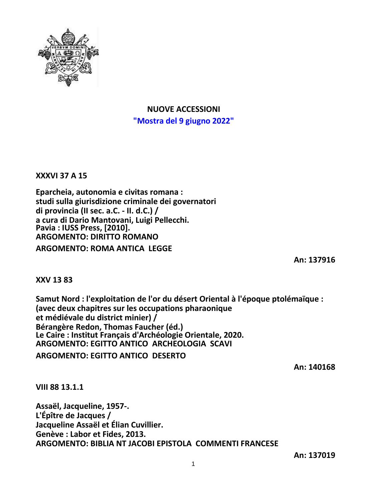

# **NUOVE ACCESSIONI "Mostra del 9 giugno 2022"**

**XXXVI 37 A 15**

**Eparcheia, autonomia e civitas romana : studi sulla giurisdizione criminale dei governatori di provincia (II sec. a.C. - II. d.C.) / a cura di Dario Mantovani, Luigi Pellecchi. Pavia : IUSS Press, [2010]. ARGOMENTO: DIRITTO ROMANO**

**ARGOMENTO: ROMA ANTICA LEGGE**

**An: 137916**

**XXV 13 83**

**Samut Nord : l'exploitation de l'or du désert Oriental à l'époque ptolémaïque : (avec deux chapitres sur les occupations pharaonique et médiévale du district minier) / Bérangère Redon, Thomas Faucher (éd.) Le Caire : Institut Français d'Archéologie Orientale, 2020. ARGOMENTO: EGITTO ANTICO ARCHEOLOGIA SCAVI ARGOMENTO: EGITTO ANTICO DESERTO**

**An: 140168**

**VIII 88 13.1.1**

**Assaël, Jacqueline, 1957-. L'Épître de Jacques / Jacqueline Assaël et Élian Cuvillier. Genève : Labor et Fides, 2013. ARGOMENTO: BIBLIA NT JACOBI EPISTOLA COMMENTI FRANCESE**

**An: 137019**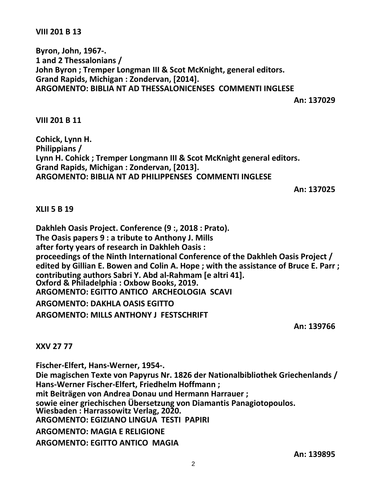### **VIII 201 B 13**

**Byron, John, 1967-. 1 and 2 Thessalonians / John Byron ; Tremper Longman III & Scot McKnight, general editors. Grand Rapids, Michigan : Zondervan, [2014]. ARGOMENTO: BIBLIA NT AD THESSALONICENSES COMMENTI INGLESE**

**An: 137029**

**VIII 201 B 11**

**Cohick, Lynn H. Philippians / Lynn H. Cohick ; Tremper Longmann III & Scot McKnight general editors. Grand Rapids, Michigan : Zondervan, [2013]. ARGOMENTO: BIBLIA NT AD PHILIPPENSES COMMENTI INGLESE**

**An: 137025**

**XLII 5 B 19**

**Dakhleh Oasis Project. Conference (9 :, 2018 : Prato). The Oasis papers 9 : a tribute to Anthony J. Mills after forty years of research in Dakhleh Oasis : proceedings of the Ninth International Conference of the Dakhleh Oasis Project / edited by Gillian E. Bowen and Colin A. Hope ; with the assistance of Bruce E. Parr ; contributing authors Sabri Y. Abd al-Rahmam [e altri 41]. Oxford & Philadelphia : Oxbow Books, 2019. ARGOMENTO: EGITTO ANTICO ARCHEOLOGIA SCAVI ARGOMENTO: DAKHLA OASIS EGITTO ARGOMENTO: MILLS ANTHONY J FESTSCHRIFT**

**An: 139766**

### **XXV 27 77**

**Fischer-Elfert, Hans-Werner, 1954-. Die magischen Texte von Papyrus Nr. 1826 der Nationalbibliothek Griechenlands / Hans-Werner Fischer-Elfert, Friedhelm Hoffmann ; mit Beiträgen von Andrea Donau und Hermann Harrauer ; sowie einer griechischen Übersetzung von Diamantis Panagiotopoulos. Wiesbaden : Harrassowitz Verlag, 2020. ARGOMENTO: EGIZIANO LINGUA TESTI PAPIRI ARGOMENTO: MAGIA E RELIGIONE ARGOMENTO: EGITTO ANTICO MAGIA**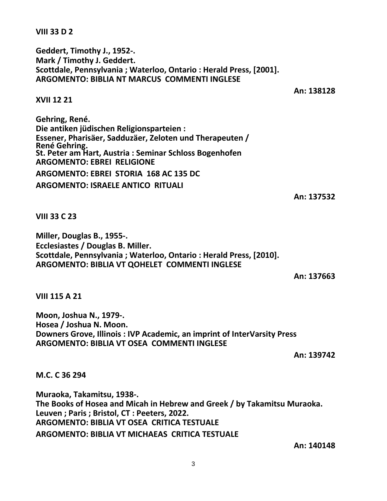**VIII 33 D 2**

**Geddert, Timothy J., 1952-. Mark / Timothy J. Geddert. Scottdale, Pennsylvania ; Waterloo, Ontario : Herald Press, [2001]. ARGOMENTO: BIBLIA NT MARCUS COMMENTI INGLESE**

**An: 138128**

## **XVII 12 21**

**Gehring, René. Die antiken jüdischen Religionsparteien : Essener, Pharisäer, Sadduzäer, Zeloten und Therapeuten / René Gehring. St. Peter am Hart, Austria : Seminar Schloss Bogenhofen ARGOMENTO: EBREI RELIGIONE ARGOMENTO: EBREI STORIA 168 AC 135 DC ARGOMENTO: ISRAELE ANTICO RITUALI**

**An: 137532**

### **VIII 33 C 23**

**Miller, Douglas B., 1955-. Ecclesiastes / Douglas B. Miller. Scottdale, Pennsylvania ; Waterloo, Ontario : Herald Press, [2010]. ARGOMENTO: BIBLIA VT QOHELET COMMENTI INGLESE**

**An: 137663**

**VIII 115 A 21**

**Moon, Joshua N., 1979-. Hosea / Joshua N. Moon. Downers Grove, Illinois : IVP Academic, an imprint of InterVarsity Press ARGOMENTO: BIBLIA VT OSEA COMMENTI INGLESE**

**An: 139742**

**M.C. C 36 294**

**Muraoka, Takamitsu, 1938-. The Books of Hosea and Micah in Hebrew and Greek / by Takamitsu Muraoka. Leuven ; Paris ; Bristol, CT : Peeters, 2022. ARGOMENTO: BIBLIA VT OSEA CRITICA TESTUALE ARGOMENTO: BIBLIA VT MICHAEAS CRITICA TESTUALE**